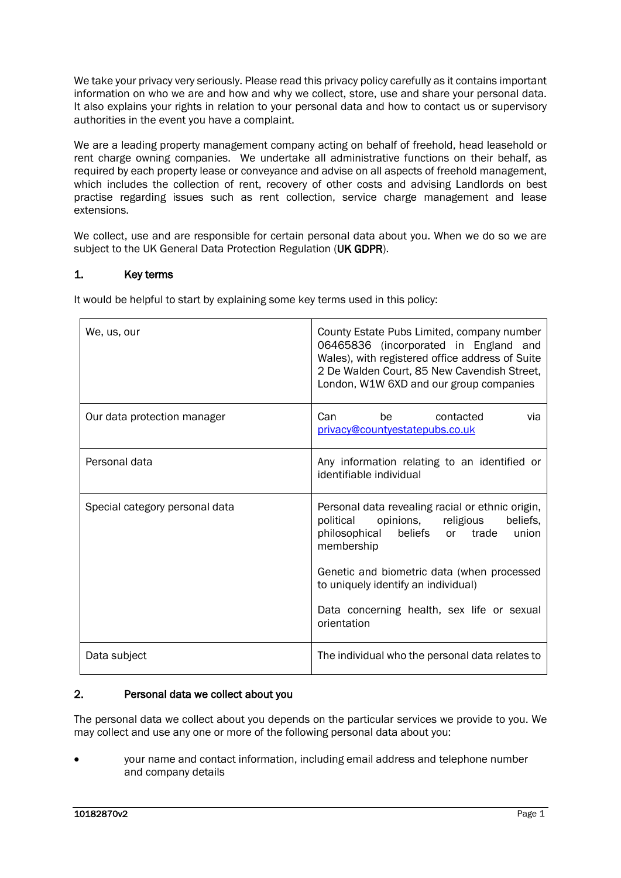We take your privacy very seriously. Please read this privacy policy carefully as it contains important information on who we are and how and why we collect, store, use and share your personal data. It also explains your rights in relation to your personal data and how to contact us or supervisory authorities in the event you have a complaint.

We are a leading property management company acting on behalf of freehold, head leasehold or rent charge owning companies. We undertake all administrative functions on their behalf, as required by each property lease or conveyance and advise on all aspects of freehold management, which includes the collection of rent, recovery of other costs and advising Landlords on best practise regarding issues such as rent collection, service charge management and lease extensions.

We collect, use and are responsible for certain personal data about you. When we do so we are subject to the UK General Data Protection Regulation (UK GDPR).

# 1. Key terms

It would be helpful to start by explaining some key terms used in this policy:

| We, us, our                    | County Estate Pubs Limited, company number<br>06465836 (incorporated in England and<br>Wales), with registered office address of Suite<br>2 De Walden Court, 85 New Cavendish Street,<br>London, W1W 6XD and our group companies                                                           |
|--------------------------------|--------------------------------------------------------------------------------------------------------------------------------------------------------------------------------------------------------------------------------------------------------------------------------------------|
| Our data protection manager    | be a series of the series of the series of the series of the series of the series of the series of the series of the series of the series of the series of the series of the series of the series of the series of the series<br>Can<br>contacted<br>via<br>privacy@countyestatepubs.co.uk |
| Personal data                  | Any information relating to an identified or<br>identifiable individual                                                                                                                                                                                                                    |
| Special category personal data | Personal data revealing racial or ethnic origin,<br>political<br>opinions, religious<br>beliefs,<br>philosophical beliefs or trade<br>union<br>membership                                                                                                                                  |
|                                | Genetic and biometric data (when processed<br>to uniquely identify an individual)                                                                                                                                                                                                          |
|                                | Data concerning health, sex life or sexual<br>orientation                                                                                                                                                                                                                                  |
| Data subject                   | The individual who the personal data relates to                                                                                                                                                                                                                                            |

### 2. Personal data we collect about you

The personal data we collect about you depends on the particular services we provide to you. We may collect and use any one or more of the following personal data about you:

• your name and contact information, including email address and telephone number and company details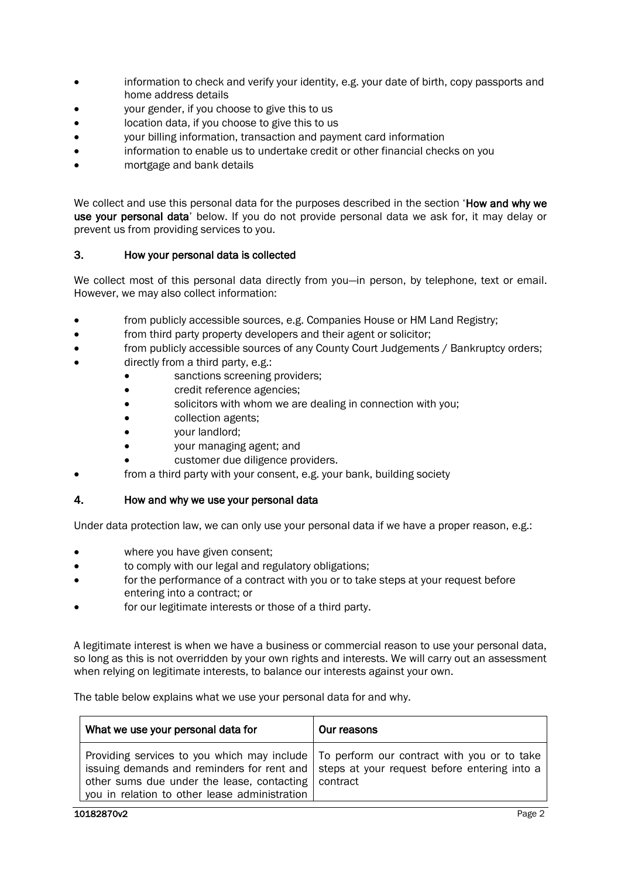- information to check and verify your identity, e.g. your date of birth, copy passports and home address details
- your gender, if you choose to give this to us
- location data, if you choose to give this to us
- your billing information, transaction and payment card information
- information to enable us to undertake credit or other financial checks on you
- mortgage and bank details

We collect and use this personal data for the purposes described in the section 'How and why we use your personal data' below. If you do not provide personal data we ask for, it may delay or prevent us from providing services to you.

### 3. How your personal data is collected

We collect most of this personal data directly from you—in person, by telephone, text or email. However, we may also collect information:

- from publicly accessible sources, e.g. Companies House or HM Land Registry;
- from third party property developers and their agent or solicitor;
- from publicly accessible sources of any County Court Judgements / Bankruptcy orders;
- directly from a third party, e.g.:
	- sanctions screening providers;
	- **credit reference agencies;**
	- solicitors with whom we are dealing in connection with you;
	- collection agents;
	- your landlord;
	- your managing agent; and
	- customer due diligence providers.
- from a third party with your consent, e.g. your bank, building society
- 4. How and why we use your personal data

Under data protection law, we can only use your personal data if we have a proper reason, e.g.:

- where you have given consent;
- to comply with our legal and regulatory obligations;
- for the performance of a contract with you or to take steps at your request before entering into a contract; or
- for our legitimate interests or those of a third party.

A legitimate interest is when we have a business or commercial reason to use your personal data, so long as this is not overridden by your own rights and interests. We will carry out an assessment when relying on legitimate interests, to balance our interests against your own.

The table below explains what we use your personal data for and why.

| What we use your personal data for                    | Our reasons                                                                               |
|-------------------------------------------------------|-------------------------------------------------------------------------------------------|
| other sums due under the lease, contacting   contract | Providing services to you which may include   To perform our contract with you or to take |
| you in relation to other lease administration         | issuing demands and reminders for rent and   steps at your request before entering into a |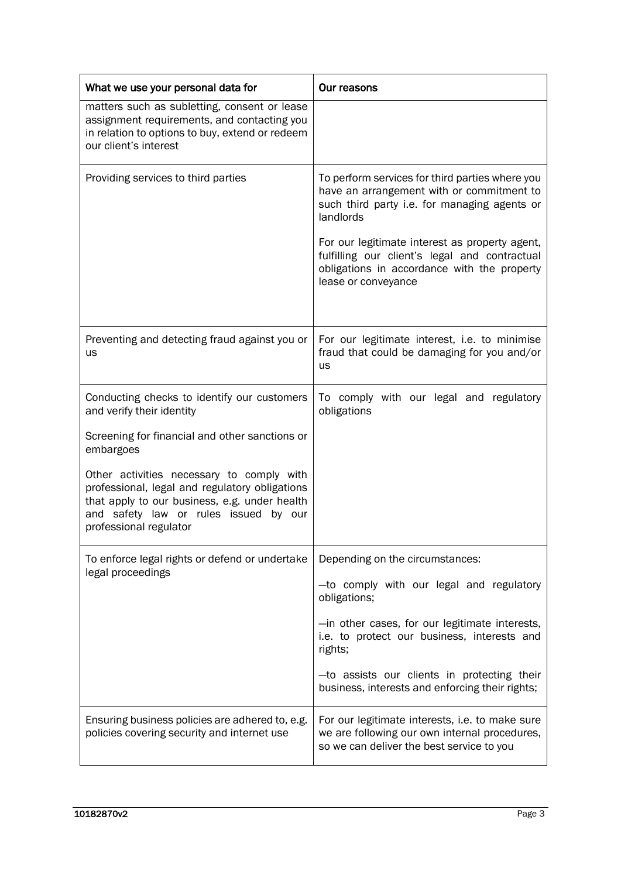| What we use your personal data for                                                                                                                                                                              | Our reasons                                                                                                                                                                                                                                                                                                 |
|-----------------------------------------------------------------------------------------------------------------------------------------------------------------------------------------------------------------|-------------------------------------------------------------------------------------------------------------------------------------------------------------------------------------------------------------------------------------------------------------------------------------------------------------|
| matters such as subletting, consent or lease<br>assignment requirements, and contacting you<br>in relation to options to buy, extend or redeem<br>our client's interest                                         |                                                                                                                                                                                                                                                                                                             |
| Providing services to third parties                                                                                                                                                                             | To perform services for third parties where you<br>have an arrangement with or commitment to<br>such third party i.e. for managing agents or<br>landlords<br>For our legitimate interest as property agent,<br>fulfilling our client's legal and contractual<br>obligations in accordance with the property |
|                                                                                                                                                                                                                 | lease or conveyance                                                                                                                                                                                                                                                                                         |
| Preventing and detecting fraud against you or<br><b>us</b>                                                                                                                                                      | For our legitimate interest, i.e. to minimise<br>fraud that could be damaging for you and/or<br><b>us</b>                                                                                                                                                                                                   |
| Conducting checks to identify our customers<br>and verify their identity                                                                                                                                        | To comply with our legal and regulatory<br>obligations                                                                                                                                                                                                                                                      |
| Screening for financial and other sanctions or<br>embargoes                                                                                                                                                     |                                                                                                                                                                                                                                                                                                             |
| Other activities necessary to comply with<br>professional, legal and regulatory obligations<br>that apply to our business, e.g. under health<br>and safety law or rules issued by our<br>professional regulator |                                                                                                                                                                                                                                                                                                             |
| To enforce legal rights or defend or undertake<br>legal proceedings                                                                                                                                             | Depending on the circumstances:                                                                                                                                                                                                                                                                             |
|                                                                                                                                                                                                                 | -to comply with our legal and regulatory<br>obligations;                                                                                                                                                                                                                                                    |
|                                                                                                                                                                                                                 | -in other cases, for our legitimate interests,<br>i.e. to protect our business, interests and<br>rights;                                                                                                                                                                                                    |
|                                                                                                                                                                                                                 | -to assists our clients in protecting their<br>business, interests and enforcing their rights;                                                                                                                                                                                                              |
| Ensuring business policies are adhered to, e.g.<br>policies covering security and internet use                                                                                                                  | For our legitimate interests, i.e. to make sure<br>we are following our own internal procedures,<br>so we can deliver the best service to you                                                                                                                                                               |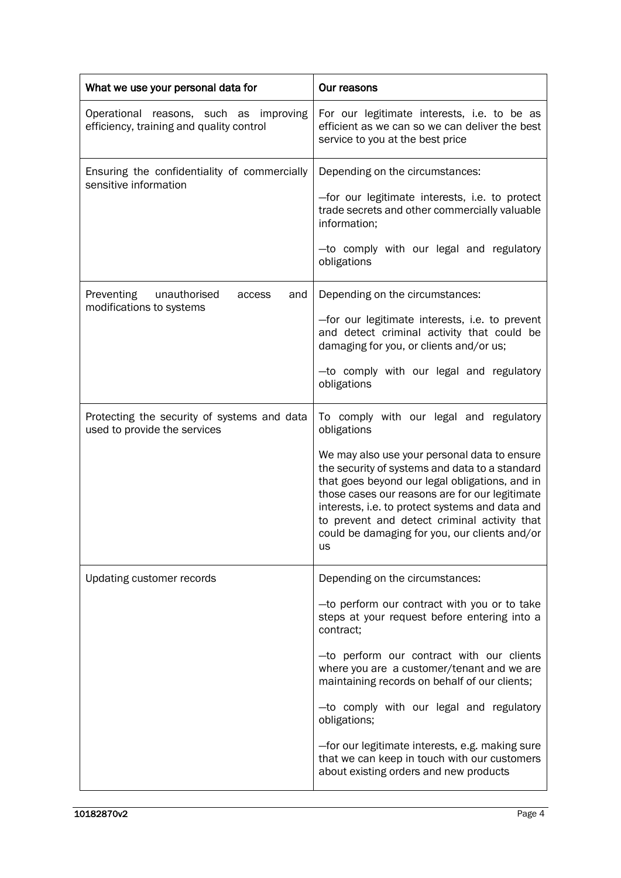| What we use your personal data for                                                 | Our reasons                                                                                                                                                                                                                                                                                                                                                                                                                                                                                       |
|------------------------------------------------------------------------------------|---------------------------------------------------------------------------------------------------------------------------------------------------------------------------------------------------------------------------------------------------------------------------------------------------------------------------------------------------------------------------------------------------------------------------------------------------------------------------------------------------|
| Operational reasons, such as improving<br>efficiency, training and quality control | For our legitimate interests, i.e. to be as<br>efficient as we can so we can deliver the best<br>service to you at the best price                                                                                                                                                                                                                                                                                                                                                                 |
| Ensuring the confidentiality of commercially<br>sensitive information              | Depending on the circumstances:<br>-for our legitimate interests, i.e. to protect<br>trade secrets and other commercially valuable<br>information;<br>-to comply with our legal and regulatory<br>obligations                                                                                                                                                                                                                                                                                     |
| <b>Preventing</b><br>unauthorised<br>and<br>access<br>modifications to systems     | Depending on the circumstances:<br>-for our legitimate interests, i.e. to prevent<br>and detect criminal activity that could be<br>damaging for you, or clients and/or us;<br>-to comply with our legal and regulatory<br>obligations                                                                                                                                                                                                                                                             |
| Protecting the security of systems and data<br>used to provide the services        | To comply with our legal and regulatory<br>obligations<br>We may also use your personal data to ensure<br>the security of systems and data to a standard<br>that goes beyond our legal obligations, and in<br>those cases our reasons are for our legitimate<br>interests, i.e. to protect systems and data and<br>to prevent and detect criminal activity that<br>could be damaging for you, our clients and/or<br>us                                                                            |
| Updating customer records                                                          | Depending on the circumstances:<br>-to perform our contract with you or to take<br>steps at your request before entering into a<br>contract;<br>-to perform our contract with our clients<br>where you are a customer/tenant and we are<br>maintaining records on behalf of our clients;<br>-to comply with our legal and regulatory<br>obligations;<br>-for our legitimate interests, e.g. making sure<br>that we can keep in touch with our customers<br>about existing orders and new products |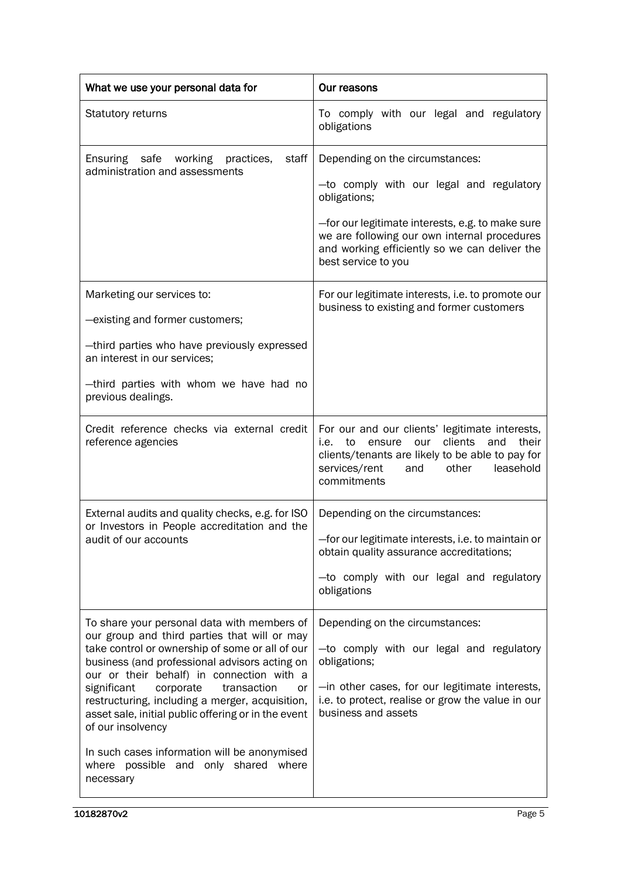| What we use your personal data for                                                                                                                                                                                                                                                                                                                                                                                                                                           | Our reasons                                                                                                                                                                                                                                                             |
|------------------------------------------------------------------------------------------------------------------------------------------------------------------------------------------------------------------------------------------------------------------------------------------------------------------------------------------------------------------------------------------------------------------------------------------------------------------------------|-------------------------------------------------------------------------------------------------------------------------------------------------------------------------------------------------------------------------------------------------------------------------|
| Statutory returns                                                                                                                                                                                                                                                                                                                                                                                                                                                            | To comply with our legal and regulatory<br>obligations                                                                                                                                                                                                                  |
| Ensuring safe<br>staff<br>working practices,<br>administration and assessments                                                                                                                                                                                                                                                                                                                                                                                               | Depending on the circumstances:<br>-to comply with our legal and regulatory<br>obligations;<br>-for our legitimate interests, e.g. to make sure<br>we are following our own internal procedures<br>and working efficiently so we can deliver the<br>best service to you |
| Marketing our services to:<br>-existing and former customers;<br>-third parties who have previously expressed<br>an interest in our services;<br>-third parties with whom we have had no<br>previous dealings.                                                                                                                                                                                                                                                               | For our legitimate interests, i.e. to promote our<br>business to existing and former customers                                                                                                                                                                          |
| Credit reference checks via external credit<br>reference agencies                                                                                                                                                                                                                                                                                                                                                                                                            | For our and our clients' legitimate interests,<br>clients and<br>to<br>our<br>their<br>i.e.<br>ensure<br>clients/tenants are likely to be able to pay for<br>leasehold<br>services/rent<br>and<br>other<br>commitments                                                  |
| External audits and quality checks, e.g. for ISO<br>or Investors in People accreditation and the<br>audit of our accounts                                                                                                                                                                                                                                                                                                                                                    | Depending on the circumstances:<br>-for our legitimate interests, i.e. to maintain or<br>obtain quality assurance accreditations;<br>-to comply with our legal and regulatory<br>obligations                                                                            |
| To share your personal data with members of<br>our group and third parties that will or may<br>take control or ownership of some or all of our<br>business (and professional advisors acting on<br>our or their behalf) in connection with a<br>significant<br>corporate<br>transaction<br>or<br>restructuring, including a merger, acquisition,<br>asset sale, initial public offering or in the event<br>of our insolvency<br>In such cases information will be anonymised | Depending on the circumstances:<br>-to comply with our legal and regulatory<br>obligations;<br>-in other cases, for our legitimate interests,<br>i.e. to protect, realise or grow the value in our<br>business and assets                                               |
| where possible and only shared where<br>necessary                                                                                                                                                                                                                                                                                                                                                                                                                            |                                                                                                                                                                                                                                                                         |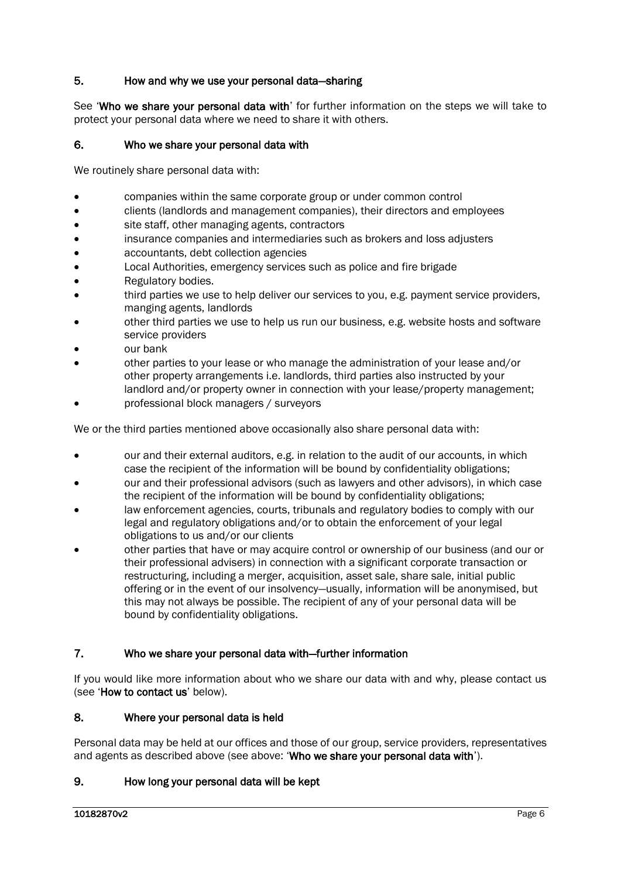## 5. How and why we use your personal data—sharing

See 'Who we share your personal data with' for further information on the steps we will take to protect your personal data where we need to share it with others.

# 6. Who we share your personal data with

We routinely share personal data with:

- companies within the same corporate group or under common control
- clients (landlords and management companies), their directors and employees
- site staff, other managing agents, contractors
- insurance companies and intermediaries such as brokers and loss adjusters
- accountants, debt collection agencies
- Local Authorities, emergency services such as police and fire brigade
- Regulatory bodies.
- third parties we use to help deliver our services to you, e.g. payment service providers, manging agents, landlords
- other third parties we use to help us run our business, e.g. website hosts and software service providers
- our bank
- other parties to your lease or who manage the administration of your lease and/or other property arrangements i.e. landlords, third parties also instructed by your landlord and/or property owner in connection with your lease/property management;
- professional block managers / surveyors

We or the third parties mentioned above occasionally also share personal data with:

- our and their external auditors, e.g. in relation to the audit of our accounts, in which case the recipient of the information will be bound by confidentiality obligations;
- our and their professional advisors (such as lawyers and other advisors), in which case the recipient of the information will be bound by confidentiality obligations;
- law enforcement agencies, courts, tribunals and regulatory bodies to comply with our legal and regulatory obligations and/or to obtain the enforcement of your legal obligations to us and/or our clients
- other parties that have or may acquire control or ownership of our business (and our or their professional advisers) in connection with a significant corporate transaction or restructuring, including a merger, acquisition, asset sale, share sale, initial public offering or in the event of our insolvency—usually, information will be anonymised, but this may not always be possible. The recipient of any of your personal data will be bound by confidentiality obligations.

### 7. Who we share your personal data with—further information

If you would like more information about who we share our data with and why, please contact us (see 'How to contact us' below).

#### 8. Where your personal data is held

Personal data may be held at our offices and those of our group, service providers, representatives and agents as described above (see above: 'Who we share your personal data with').

### 9. How long your personal data will be kept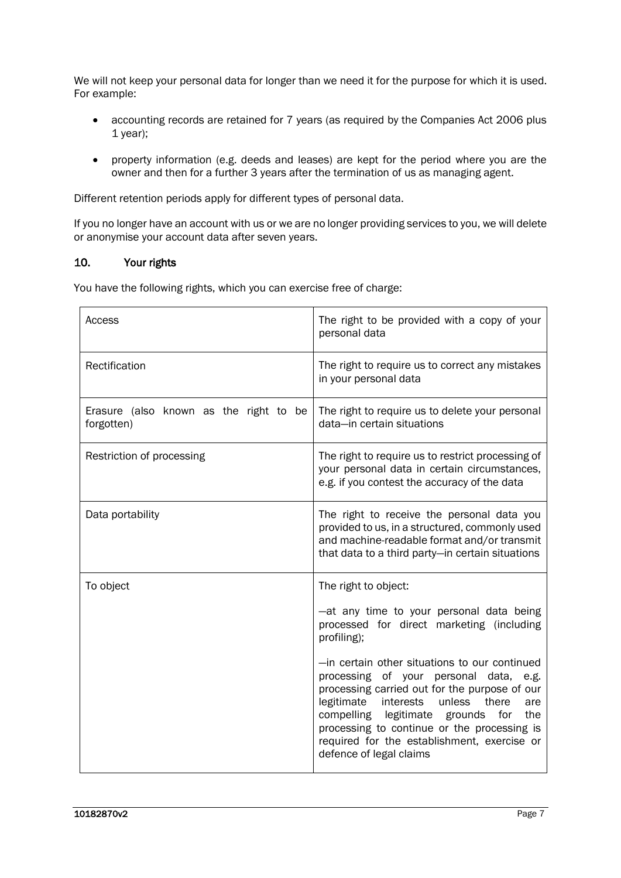We will not keep your personal data for longer than we need it for the purpose for which it is used. For example:

- accounting records are retained for 7 years (as required by the Companies Act 2006 plus 1 year);
- property information (e.g. deeds and leases) are kept for the period where you are the owner and then for a further 3 years after the termination of us as managing agent.

Different retention periods apply for different types of personal data.

If you no longer have an account with us or we are no longer providing services to you, we will delete or anonymise your account data after seven years.

# 10. Your rights

You have the following rights, which you can exercise free of charge:

| Access                                               | The right to be provided with a copy of your<br>personal data                                                                                                                                                                                                                                                                                                               |
|------------------------------------------------------|-----------------------------------------------------------------------------------------------------------------------------------------------------------------------------------------------------------------------------------------------------------------------------------------------------------------------------------------------------------------------------|
| Rectification                                        | The right to require us to correct any mistakes<br>in your personal data                                                                                                                                                                                                                                                                                                    |
| Erasure (also known as the right to be<br>forgotten) | The right to require us to delete your personal<br>data-in certain situations                                                                                                                                                                                                                                                                                               |
| Restriction of processing                            | The right to require us to restrict processing of<br>your personal data in certain circumstances,<br>e.g. if you contest the accuracy of the data                                                                                                                                                                                                                           |
| Data portability                                     | The right to receive the personal data you<br>provided to us, in a structured, commonly used<br>and machine-readable format and/or transmit<br>that data to a third party-in certain situations                                                                                                                                                                             |
| To object                                            | The right to object:<br>-at any time to your personal data being                                                                                                                                                                                                                                                                                                            |
|                                                      | processed for direct marketing (including<br>profiling);                                                                                                                                                                                                                                                                                                                    |
|                                                      | -in certain other situations to our continued<br>processing of your personal data,<br>e.g.<br>processing carried out for the purpose of our<br>legitimate<br>interests<br>unless<br>there<br>are<br>compelling legitimate<br>grounds<br>for<br>the<br>processing to continue or the processing is<br>required for the establishment, exercise or<br>defence of legal claims |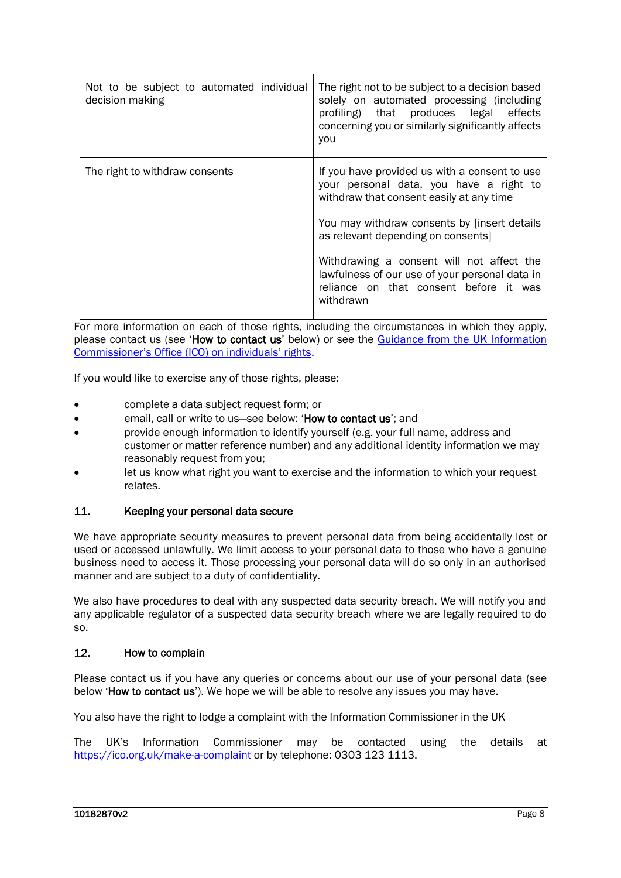| Not to be subject to automated individual<br>decision making | The right not to be subject to a decision based<br>solely on automated processing (including<br>profiling) that produces legal effects<br>concerning you or similarly significantly affects<br>you |
|--------------------------------------------------------------|----------------------------------------------------------------------------------------------------------------------------------------------------------------------------------------------------|
| The right to withdraw consents                               | If you have provided us with a consent to use<br>your personal data, you have a right to<br>withdraw that consent easily at any time                                                               |
|                                                              | You may withdraw consents by [insert details<br>as relevant depending on consents]                                                                                                                 |
|                                                              | Withdrawing a consent will not affect the<br>lawfulness of our use of your personal data in<br>reliance on that consent before it was<br>withdrawn                                                 |

For more information on each of those rights, including the circumstances in which they apply. please contact us (see 'How to contact us' below) or see the Guidance from the UK Information Commissioner's Office (ICO) on individuals' rights.

If you would like to exercise any of those rights, please:

- complete a data subject request form; or
- email. call or write to us-see below: 'How to contact us'; and
- provide enough information to identify yourself (e.g. your full name, address and customer or matter reference number) and any additional identity information we may reasonably request from you;
- let us know what right you want to exercise and the information to which your request relates.

### 11. Keeping your personal data secure

We have appropriate security measures to prevent personal data from being accidentally lost or used or accessed unlawfully. We limit access to your personal data to those who have a genuine business need to access it. Those processing your personal data will do so only in an authorised manner and are subject to a duty of confidentiality.

We also have procedures to deal with any suspected data security breach. We will notify you and any applicable regulator of a suspected data security breach where we are legally required to do so.

#### 12. How to complain

Please contact us if you have any queries or concerns about our use of your personal data (see below 'How to contact us'). We hope we will be able to resolve any issues you may have.

You also have the right to lodge a complaint with the Information Commissioner in the UK

The UK's Information Commissioner may be contacted using the details at https://ico.org.uk/make-a-complaint or by telephone: 0303 123 1113.